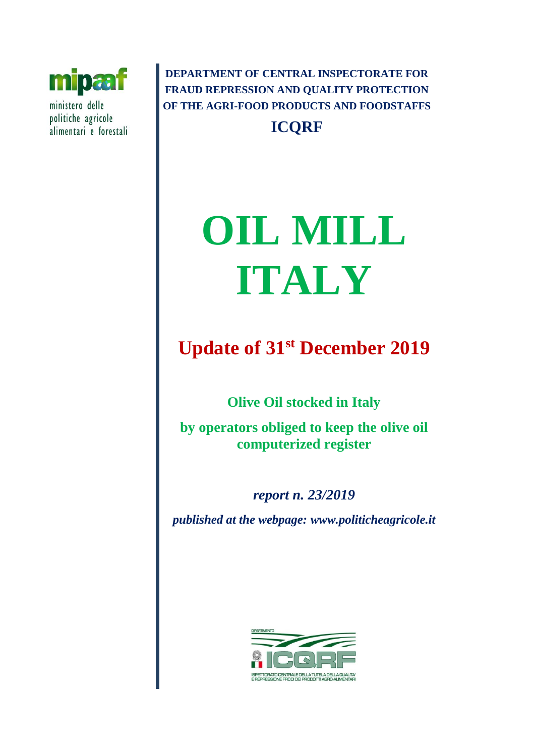

ministero delle politiche agricole alimentari e forestali

**DEPARTMENT OF CENTRAL INSPECTORATE FOR FRAUD REPRESSION AND QUALITY PROTECTION OF THE AGRI-FOOD PRODUCTS AND FOODSTAFFS ICQRF**

# **OIL MILL ITALY**

# **Update of 31st December 2019**

**Olive Oil stocked in Italy** 

**by operators obliged to keep the olive oil computerized register** 

*report n. 23/2019 published at the webpage: www.politicheagricole.it*

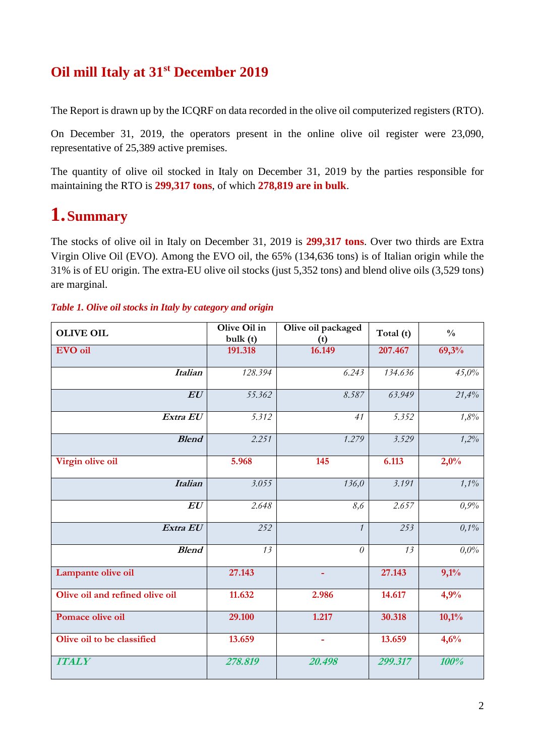## **Oil mill Italy at 31st December 2019**

The Report is drawn up by the ICQRF on data recorded in the olive oil computerized registers (RTO).

On December 31, 2019, the operators present in the online olive oil register were 23,090, representative of 25,389 active premises.

The quantity of olive oil stocked in Italy on December 31, 2019 by the parties responsible for maintaining the RTO is **299,317 tons**, of which **278,819 are in bulk**.

## **1.Summary**

The stocks of olive oil in Italy on December 31, 2019 is **299,317 tons**. Over two thirds are Extra Virgin Olive Oil (EVO). Among the EVO oil, the 65% (134,636 tons) is of Italian origin while the 31% is of EU origin. The extra-EU olive oil stocks (just 5,352 tons) and blend olive oils (3,529 tons) are marginal.

| Table 1. Olive oil stocks in Italy by category and origin |  |  |  |  |  |  |  |  |
|-----------------------------------------------------------|--|--|--|--|--|--|--|--|
|-----------------------------------------------------------|--|--|--|--|--|--|--|--|

| <b>OLIVE OIL</b>                | Olive Oil in<br>bulk(t) | Olive oil packaged<br>(t) | Total (t) | $\frac{0}{0}$ |
|---------------------------------|-------------------------|---------------------------|-----------|---------------|
| <b>EVO</b> oil                  | 191.318                 | 16.149                    | 207.467   | 69,3%         |
| <b>Italian</b>                  | 128.394                 | 6.243                     | 134.636   | 45,0%         |
| EU                              | 55.362                  | 8.587                     | 63.949    | 21,4%         |
| Extra EU                        | 5.312                   | 41                        | 5.352     | 1,8%          |
| <b>Blend</b>                    | 2.251                   | 1.279                     | 3.529     | 1,2%          |
| Virgin olive oil                | 5.968                   | 145                       | 6.113     | 2,0%          |
| <b>Italian</b>                  | 3.055                   | 136,0                     | 3.191     | 1,1%          |
| EU                              | 2.648                   | 8,6                       | 2.657     | 0,9%          |
| Extra EU                        | 252                     | $\mathcal{I}$             | 253       | 0,1%          |
| <b>Blend</b>                    | 13                      | $\theta$                  | 13        | $0.0\%$       |
| Lampante olive oil              | 27.143                  | ٠                         | 27.143    | 9,1%          |
| Olive oil and refined olive oil | 11.632                  | 2.986                     | 14.617    | 4,9%          |
| Pomace olive oil                | 29.100                  | 1.217                     | 30.318    | 10,1%         |
| Olive oil to be classified      | 13.659                  | $\blacksquare$            | 13.659    | 4,6%          |
| <b>ITALY</b>                    | 278.819                 | 20.498                    | 299.317   | 100%          |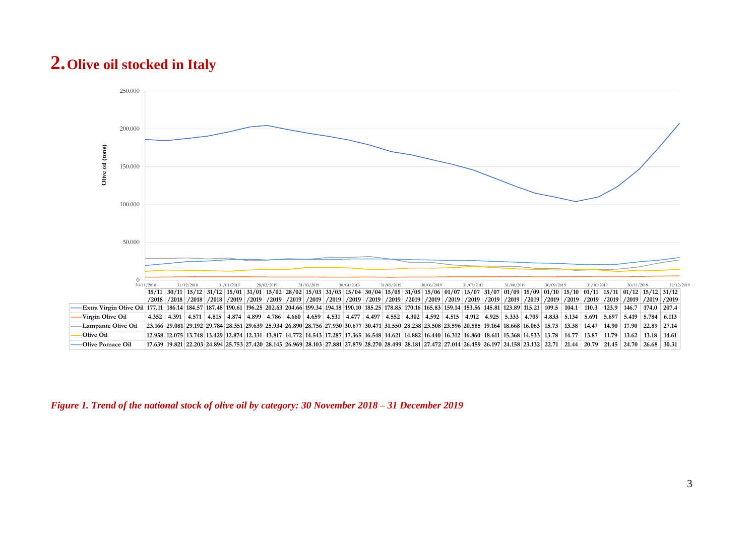## **2.Olive oil stocked in Italy**



*Figure 1. Trend of the national stock of olive oil by category: 30 November 2018 – 31 December 2019*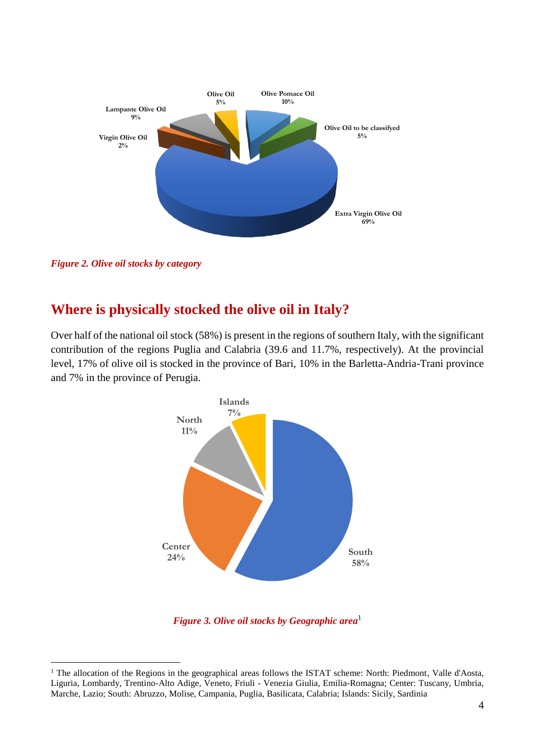

*Figure 2. Olive oil stocks by category*

1

### **Where is physically stocked the olive oil in Italy?**

Over half of the national oil stock (58%) is present in the regions of southern Italy, with the significant contribution of the regions Puglia and Calabria (39.6 and 11.7%, respectively). At the provincial level, 17% of olive oil is stocked in the province of Bari, 10% in the Barletta-Andria-Trani province and 7% in the province of Perugia.



*Figure 3. Olive oil stocks by Geographic area*<sup>1</sup>

<sup>&</sup>lt;sup>1</sup> The allocation of the Regions in the geographical areas follows the ISTAT scheme: North: Piedmont, Valle d'Aosta, Liguria, Lombardy, Trentino-Alto Adige, Veneto, Friuli - Venezia Giulia, Emilia-Romagna; Center: Tuscany, Umbria, Marche, Lazio; South: Abruzzo, Molise, Campania, Puglia, Basilicata, Calabria; Islands: Sicily, Sardinia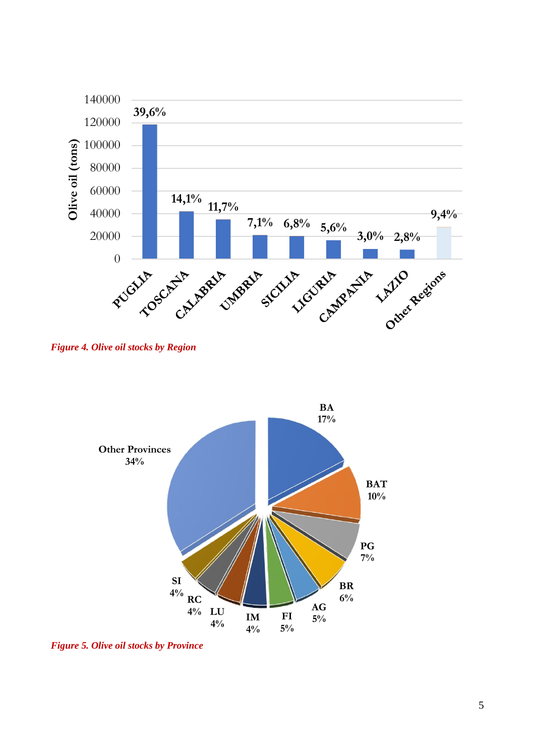

*Figure 4. Olive oil stocks by Region*



*Figure 5. Olive oil stocks by Province*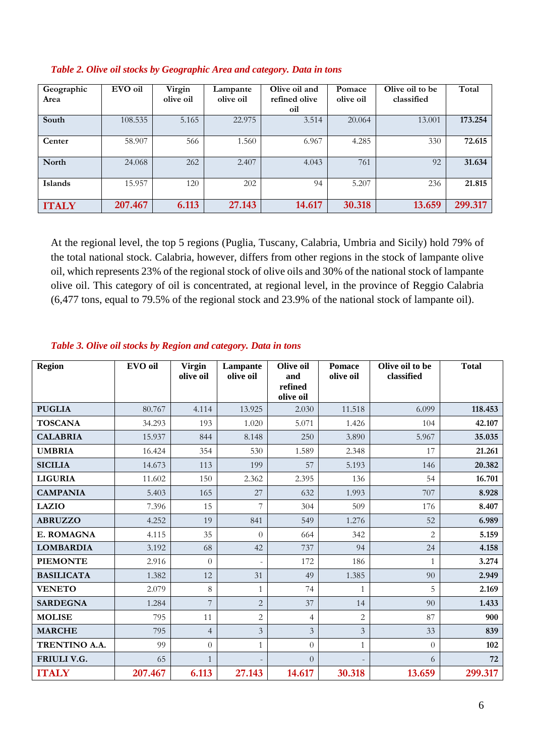| Geographic<br>Area | EVO oil | Virgin<br>olive oil | Lampante<br>olive oil | Olive oil and<br>refined olive<br>oil | Pomace<br>olive oil | Olive oil to be<br>classified | Total   |
|--------------------|---------|---------------------|-----------------------|---------------------------------------|---------------------|-------------------------------|---------|
| South              | 108.535 | 5.165               | 22.975                | 3.514                                 | 20.064              | 13.001                        | 173.254 |
| Center             | 58.907  | 566                 | 1.560                 | 6.967                                 | 4.285               | 330                           | 72.615  |
| <b>North</b>       | 24.068  | 262                 | 2.407                 | 4.043                                 | 761                 | 92                            | 31.634  |
| <b>Islands</b>     | 15.957  | 120                 | 202                   | 94                                    | 5.207               | 236                           | 21.815  |
| <b>ITALY</b>       | 207.467 | 6.113               | 27.143                | 14.617                                | 30.318              | 13.659                        | 299.317 |

#### *Table 2. Olive oil stocks by Geographic Area and category. Data in tons*

At the regional level, the top 5 regions (Puglia, Tuscany, Calabria, Umbria and Sicily) hold 79% of the total national stock. Calabria, however, differs from other regions in the stock of lampante olive oil, which represents 23% of the regional stock of olive oils and 30% of the national stock of lampante olive oil. This category of oil is concentrated, at regional level, in the province of Reggio Calabria (6,477 tons, equal to 79.5% of the regional stock and 23.9% of the national stock of lampante oil).

| <b>Region</b>     | EVO oil | <b>Virgin</b><br>olive oil | Lampante<br>olive oil    | Olive oil<br>and<br>refined<br>olive oil | <b>Pomace</b><br>olive oil | Olive oil to be<br>classified | <b>Total</b> |
|-------------------|---------|----------------------------|--------------------------|------------------------------------------|----------------------------|-------------------------------|--------------|
| <b>PUGLIA</b>     | 80.767  | 4.114                      | 13.925                   | 2.030                                    | 11.518                     | 6.099                         | 118.453      |
| <b>TOSCANA</b>    | 34.293  | 193                        | 1.020                    | 5.071                                    | 1.426                      | 104                           | 42.107       |
| <b>CALABRIA</b>   | 15.937  | 844                        | 8.148                    | 250                                      | 3.890                      | 5.967                         | 35.035       |
| <b>UMBRIA</b>     | 16.424  | 354                        | 530                      | 1.589                                    | 2.348                      | 17                            | 21.261       |
| <b>SICILIA</b>    | 14.673  | 113                        | 199                      | 57                                       | 5.193                      | 146                           | 20.382       |
| <b>LIGURIA</b>    | 11.602  | 150                        | 2.362                    | 2.395                                    | 136                        | 54                            | 16.701       |
| <b>CAMPANIA</b>   | 5.403   | 165                        | 27                       | 632                                      | 1.993                      | 707                           | 8.928        |
| <b>LAZIO</b>      | 7.396   | 15                         | 7                        | 304                                      | 509                        | 176                           | 8.407        |
| <b>ABRUZZO</b>    | 4.252   | 19                         | 841                      | 549                                      | 1.276                      | 52                            | 6.989        |
| E. ROMAGNA        | 4.115   | 35                         | $\Omega$                 | 664                                      | 342                        | $\mathfrak{D}$                | 5.159        |
| <b>LOMBARDIA</b>  | 3.192   | 68                         | 42                       | 737                                      | 94                         | 24                            | 4.158        |
| <b>PIEMONTE</b>   | 2.916   | $\Omega$                   | $\overline{\phantom{a}}$ | 172                                      | 186                        | $\mathbf{1}$                  | 3.274        |
| <b>BASILICATA</b> | 1.382   | 12                         | 31                       | 49                                       | 1.385                      | 90                            | 2.949        |
| <b>VENETO</b>     | 2.079   | 8                          | $\mathbf{1}$             | 74                                       | 1                          | 5                             | 2.169        |
| <b>SARDEGNA</b>   | 1.284   | 7                          | $\overline{c}$           | 37                                       | 14                         | 90                            | 1.433        |
| <b>MOLISE</b>     | 795     | 11                         | $\overline{c}$           | $\overline{4}$                           | $\overline{2}$             | 87                            | 900          |
| <b>MARCHE</b>     | 795     | $\overline{4}$             | $\overline{\mathbf{3}}$  | 3                                        | 3                          | 33                            | 839          |
| TRENTINO A.A.     | 99      | $\overline{0}$             | $\mathbf{1}$             | $\Omega$                                 | $\mathbf{1}$               | $\theta$                      | 102          |
| FRIULI V.G.       | 65      | $\mathbf{1}$               |                          | $\Omega$                                 |                            | 6                             | 72           |
| <b>ITALY</b>      | 207.467 | 6.113                      | 27.143                   | 14.617                                   | 30.318                     | 13.659                        | 299.317      |

#### *Table 3. Olive oil stocks by Region and category. Data in tons*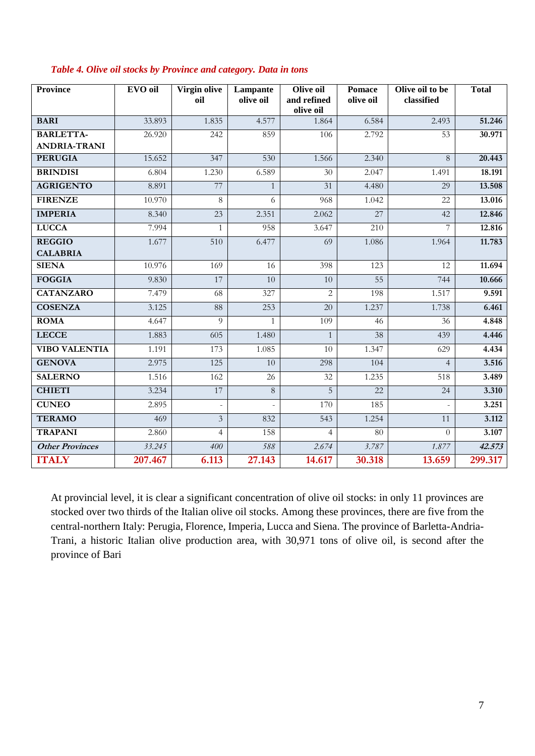| <b>Province</b>                  | EVO oil | Virgin olive<br>oil | Lampante<br>olive oil | Olive oil<br>and refined<br>olive oil | <b>Pomace</b><br>olive oil | Olive oil to be<br>classified | <b>Total</b> |
|----------------------------------|---------|---------------------|-----------------------|---------------------------------------|----------------------------|-------------------------------|--------------|
| <b>BARI</b>                      | 33.893  | 1.835               | 4.577                 | 1.864                                 | 6.584                      | 2.493                         | 51.246       |
| <b>BARLETTA-</b>                 | 26.920  | 242                 | 859                   | 106                                   | 2.792                      | 53                            | 30.971       |
| <b>ANDRIA-TRANI</b>              |         |                     |                       |                                       |                            |                               |              |
| <b>PERUGIA</b>                   | 15.652  | 347                 | 530                   | 1.566                                 | 2.340                      | 8                             | 20.443       |
| <b>BRINDISI</b>                  | 6.804   | 1.230               | 6.589                 | $\overline{30}$                       | 2.047                      | 1.491                         | 18.191       |
| <b>AGRIGENTO</b>                 | 8.891   | 77                  | $\mathbf{1}$          | 31                                    | 4.480                      | 29                            | 13.508       |
| <b>FIRENZE</b>                   | 10.970  | 8                   | 6                     | 968                                   | 1.042                      | 22                            | 13.016       |
| <b>IMPERIA</b>                   | 8.340   | 23                  | 2.351                 | 2.062                                 | 27                         | 42                            | 12.846       |
| <b>LUCCA</b>                     | 7.994   | $\mathbf{1}$        | 958                   | 3.647                                 | 210                        | 7                             | 12.816       |
| <b>REGGIO</b><br><b>CALABRIA</b> | 1.677   | $\overline{510}$    | 6.477                 | 69                                    | 1.086                      | 1.964                         | 11.783       |
| <b>SIENA</b>                     | 10.976  | 169                 | 16                    | 398                                   | 123                        | 12                            | 11.694       |
| <b>FOGGIA</b>                    | 9.830   | 17                  | 10                    | 10                                    | 55                         | 744                           | 10.666       |
| <b>CATANZARO</b>                 | 7.479   | 68                  | 327                   | $\overline{2}$                        | 198                        | 1.517                         | 9.591        |
| <b>COSENZA</b>                   | 3.125   | 88                  | 253                   | 20                                    | 1.237                      | 1.738                         | 6.461        |
| <b>ROMA</b>                      | 4.647   | 9                   | $\mathbf{1}$          | 109                                   | 46                         | 36                            | 4.848        |
| <b>LECCE</b>                     | 1.883   | 605                 | 1.480                 | $\mathbf{1}$                          | 38                         | 439                           | 4.446        |
| <b>VIBO VALENTIA</b>             | 1.191   | 173                 | 1.085                 | 10                                    | 1.347                      | 629                           | 4.434        |
| <b>GENOVA</b>                    | 2.975   | 125                 | 10                    | 298                                   | 104                        | $\overline{4}$                | 3.516        |
| <b>SALERNO</b>                   | 1.516   | 162                 | 26                    | 32                                    | 1.235                      | 518                           | 3.489        |
| <b>CHIETI</b>                    | 3.234   | 17                  | $\overline{8}$        | $\overline{5}$                        | 22                         | $\overline{24}$               | 3.310        |
| <b>CUNEO</b>                     | 2.895   | $\bar{a}$           | $\frac{1}{2}$         | 170                                   | 185                        | $\omega$                      | 3.251        |
| <b>TERAMO</b>                    | 469     | $\overline{3}$      | 832                   | 543                                   | 1.254                      | 11                            | 3.112        |
| <b>TRAPANI</b>                   | 2.860   | $\overline{4}$      | 158                   | $\overline{4}$                        | 80                         | $\theta$                      | 3.107        |
| <b>Other Provinces</b>           | 33.245  | 400                 | 588                   | 2.674                                 | 3.787                      | 1.877                         | 42.573       |
| <b>ITALY</b>                     | 207.467 | 6.113               | 27.143                | 14.617                                | 30.318                     | 13.659                        | 299.317      |

#### *Table 4. Olive oil stocks by Province and category. Data in tons*

At provincial level, it is clear a significant concentration of olive oil stocks: in only 11 provinces are stocked over two thirds of the Italian olive oil stocks. Among these provinces, there are five from the central-northern Italy: Perugia, Florence, Imperia, Lucca and Siena. The province of Barletta-Andria-Trani, a historic Italian olive production area, with 30,971 tons of olive oil, is second after the province of Bari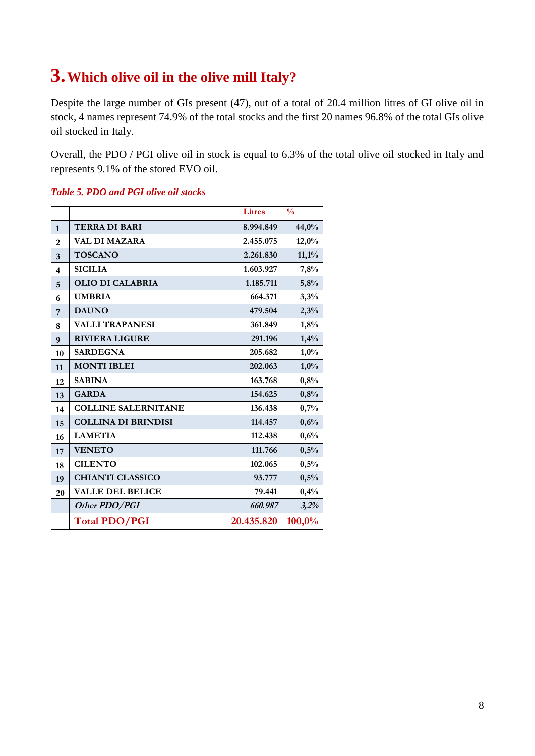## **3.Which olive oil in the olive mill Italy?**

Despite the large number of GIs present (47), out of a total of 20.4 million litres of GI olive oil in stock, 4 names represent 74.9% of the total stocks and the first 20 names 96.8% of the total GIs olive oil stocked in Italy.

Overall, the PDO / PGI olive oil in stock is equal to 6.3% of the total olive oil stocked in Italy and represents 9.1% of the stored EVO oil.

#### *Table 5. PDO and PGI olive oil stocks*

|                |                            | <b>Litres</b> | $\frac{0}{0}$ |
|----------------|----------------------------|---------------|---------------|
| $\mathbf{1}$   | <b>TERRA DI BARI</b>       | 8.994.849     | 44,0%         |
| $\overline{2}$ | <b>VAL DI MAZARA</b>       | 2.455.075     | 12,0%         |
| 3              | <b>TOSCANO</b>             | 2.261.830     | $11,1\%$      |
| $\overline{4}$ | <b>SICILIA</b>             | 1.603.927     | 7,8%          |
| 5              | <b>OLIO DI CALABRIA</b>    | 1.185.711     | 5,8%          |
| 6              | <b>UMBRIA</b>              | 664.371       | 3,3%          |
| 7              | <b>DAUNO</b>               | 479.504       | 2,3%          |
| 8              | <b>VALLI TRAPANESI</b>     | 361.849       | 1,8%          |
| 9              | <b>RIVIERA LIGURE</b>      | 291.196       | 1,4%          |
| 10             | <b>SARDEGNA</b>            | 205.682       | 1,0%          |
| 11             | <b>MONTI IBLEI</b>         | 202.063       | $1,0\%$       |
| 12             | <b>SABINA</b>              | 163.768       | 0,8%          |
| 13             | <b>GARDA</b>               | 154.625       | 0,8%          |
| 14             | <b>COLLINE SALERNITANE</b> | 136.438       | 0,7%          |
| 15             | <b>COLLINA DI BRINDISI</b> | 114.457       | 0,6%          |
| 16             | <b>LAMETIA</b>             | 112.438       | 0,6%          |
| 17             | <b>VENETO</b>              | 111.766       | 0,5%          |
| 18             | <b>CILENTO</b>             | 102.065       | 0,5%          |
| 19             | <b>CHIANTI CLASSICO</b>    | 93.777        | 0,5%          |
| 20             | <b>VALLE DEL BELICE</b>    | 79.441        | 0,4%          |
|                | Other PDO/PGI              | 660.987       | 3,2%          |
|                | <b>Total PDO/PGI</b>       | 20.435.820    | 100,0%        |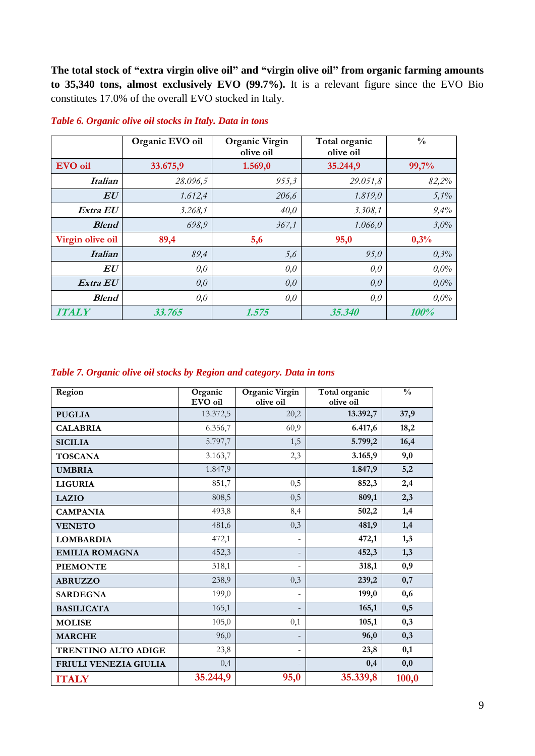**The total stock of "extra virgin olive oil" and "virgin olive oil" from organic farming amounts to 35,340 tons, almost exclusively EVO (99.7%).** It is a relevant figure since the EVO Bio constitutes 17.0% of the overall EVO stocked in Italy.

|                  | Organic EVO oil | <b>Organic Virgin</b><br>olive oil | Total organic<br>olive oil | $\frac{0}{0}$ |
|------------------|-----------------|------------------------------------|----------------------------|---------------|
| EVO oil          | 33.675,9        | 1.569,0                            | 35.244,9                   | 99,7%         |
| <i>Italian</i>   | 28.096,5        | 955,3                              | 29.051,8                   | 82,2%         |
| $\bm{E}\bm{U}$   | 1.612,4         | 206,6                              | 1.819,0                    | 5,1%          |
| Extra EU         | 3.268,1         | 40,0                               | 3.308,1                    | 9,4%          |
| <b>Blend</b>     | 698,9           | 367,1                              | 1.066,0                    | 3,0%          |
| Virgin olive oil | 89,4            | 5,6                                | 95,0                       | 0,3%          |
| <i>Italian</i>   | 89,4            | 5,6                                | 95,0                       | 0,3%          |
| EU               | 0,0             | 0,0                                | 0,0                        | $0.0\%$       |
| Extra EU         | 0,0             | 0,0                                | 0,0                        | $0.0\%$       |
| <b>Blend</b>     | 0,0             | 0,0                                | 0,0                        | $0.0\%$       |
| <b>ITALY</b>     | 33.765          | 1.575                              | 35.340                     | 100%          |

#### *Table 6. Organic olive oil stocks in Italy. Data in tons*

#### *Table 7. Organic olive oil stocks by Region and category. Data in tons*

| Region                     | Organic<br>EVO oil | Organic Virgin<br>olive oil | Total organic<br>olive oil | $\frac{0}{0}$ |
|----------------------------|--------------------|-----------------------------|----------------------------|---------------|
|                            | 13.372,5           | 20,2                        | 13.392,7                   | 37,9          |
| <b>PUGLIA</b>              |                    |                             |                            |               |
| <b>CALABRIA</b>            | 6.356,7            | 60,9                        | 6.417,6                    | 18,2          |
| <b>SICILIA</b>             | 5.797,7            | 1,5                         | 5.799,2                    | 16,4          |
| <b>TOSCANA</b>             | 3.163,7            | 2,3                         | 3.165,9                    | 9,0           |
| <b>UMBRIA</b>              | 1.847,9            |                             | 1.847,9                    | 5,2           |
| <b>LIGURIA</b>             | 851,7              | 0,5                         | 852,3                      | 2,4           |
| <b>LAZIO</b>               | 808,5              | 0,5                         | 809,1                      | 2,3           |
| <b>CAMPANIA</b>            | 493,8              | 8,4                         | 502,2                      | 1,4           |
| <b>VENETO</b>              | 481,6              | 0,3                         | 481,9                      | 1,4           |
| <b>LOMBARDIA</b>           | 472,1              | ÷,                          | 472,1                      | 1,3           |
| <b>EMILIA ROMAGNA</b>      | 452,3              | $\overline{a}$              | 452,3                      | 1,3           |
| <b>PIEMONTE</b>            | 318,1              | $\overline{\phantom{0}}$    | 318,1                      | 0,9           |
| <b>ABRUZZO</b>             | 238,9              | 0,3                         | 239,2                      | 0,7           |
| <b>SARDEGNA</b>            | 199,0              | ÷,                          | 199,0                      | 0,6           |
| <b>BASILICATA</b>          | 165,1              |                             | 165,1                      | 0,5           |
| <b>MOLISE</b>              | 105,0              | 0,1                         | 105,1                      | 0,3           |
| <b>MARCHE</b>              | 96,0               | ٠                           | 96,0                       | 0,3           |
| <b>TRENTINO ALTO ADIGE</b> | 23,8               | ۰                           | 23,8                       | 0,1           |
| FRIULI VENEZIA GIULIA      | 0,4                |                             | 0,4                        | 0,0           |
| <b>ITALY</b>               | 35.244,9           | 95,0                        | 35.339,8                   | 100,0         |